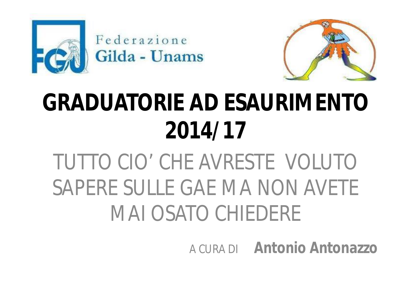



# **GRADUATORIE AD ESAURIMENTO 2014/17**

## TUTTO CIO' CHE AVRESTE VOLUTO SAPERE SULLE GAE MA NON AVETE MAI OSATO CHIEDERE

A CURA DI **Antonio Antonazzo**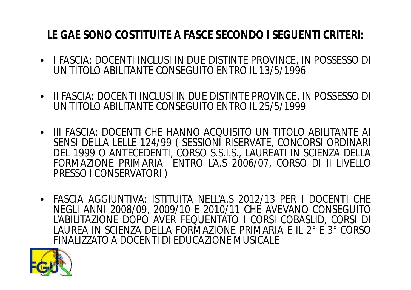#### **LE GAE SONO COSTITUITE A FASCE SECONDO I SEGUENTI CRITERI:**

- I FASCIA: DOCENTI INCLUSI IN DUE DISTINTE PROVINCE, IN POSSESSO DI UN TITOLO ABILITANTE CONSEGUITO ENTRO IL 13/5/1996
- II FASCIA: DOCENTI INCLUSI IN DUE DISTINTE PROVINCE, IN POSSESSO DI UN TITOLO ABILITANTE CONSEGUITO ENTRO IL 25/5/1999
- III FASCIA: DOCENTI CHE HANNO ACQUISITO UN TITOLO ABILITANTE AI SENSI DELLA LELLE 124/99 ( SESSIONI RISERVATE, CONCORSI ORDINARI DEL 1999 O ANTECEDENTI, CORSO S.S.I.S., LAUREATI IN SCIENZA DELLA FORMAZIONE PRIMARIA ENTRO L'A.S 2006/07, CORSO DI II LIVELLO PRESSO I CONSERVATORI )
- FASCIA AGGIUNTIVA: ISTITUITA NELL'A.S 2012/13 PER I DOCENTI CHE NEGLI ANNI 2008/09, 2009/10 E 2010/11 CHE AVEVANO CONSEGUITO L'ABILITAZIONE DOPO AVER FEQUENTATO I CORSI COBASLID, CORSI DI LAUREA IN SCIENZA DELLA FORMAZIONE PRIMARIA E IL 2° E 3° CORSO FINALIZZATO A DOCENTI DI EDUCAZIONE MUSICALE

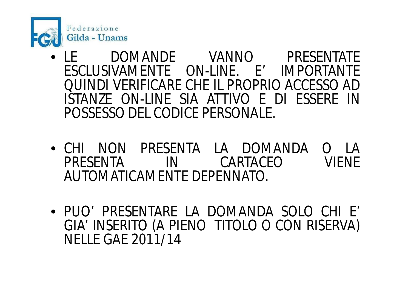

- LE DOMANDE VANNO PRESENTATE ESCLUSIVAMENTE ON-LINE. E' IMPORTANTE QUINDI VERIFICARE CHE IL PROPRIO ACCESSO AD ISTANZE ON-LINE SIA ATTIVO E DI ESSERE IN POSSESSO DEL CODICE PERSONALE.
- CHI NON PRESENTA LA DOMANDA O LA IN CARTACEO AUTOMATICAMENTE DEPENNATO.
- PUO' PRESENTARE LA DOMANDA SOLO CHI E' GIA' INSERITO (A PIENO TITOLO O CON RISERVA) NELLE GAE 2011/14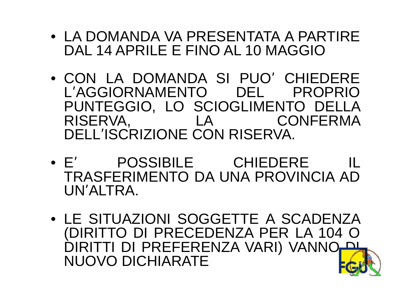- LA DOMANDA VA PRESENTATA A PARTIRE DAL 14 APRILE E FINO AL 10 MAGGIO
- CON LA DOMANDA SI PUO' CHIEDERE L'AGGIORNAMENTO DEL PROPRIO PUNTEGGIO, LO SCIOGLIMENTO DELLA RISERVA, LA CONFERMA DELL'ISCRIZIONE CON RISERVA.
- E' POSSIBILE CHIEDERE IL TRASFERIMENTO DA UNA PROVINCIA AD UN'ALTRA.
- LE SITUAZIONI SOGGETTE A SCADENZA (DIRITTO DI PRECEDENZA PER LA 104 O DIRITTI DI PREFERENZA VARI) VANNO NUOVO DICHIARATE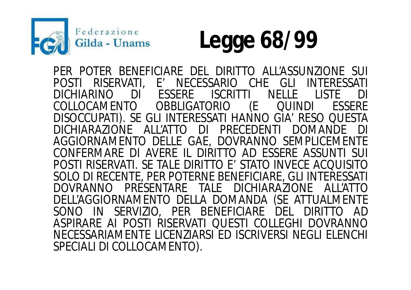



PER POTER BENEFICIARE DEL DIRITTO ALL'ASSUNZIONE SUI<br>POSTI RISERVATI, E' NECESSARIO CHE GLI INTERESSATI POSTI RISERVATI, E' NECESSARIO CHE GLI<br>DICHIARINO DI ESSERE ISCRITTI NELLE DICHIARINO DI ESSERE ISCRITTI NELLE LISTE DI<br>COLLOCAMENTO OBBLIGATORIO (E QUINDI ESSERE COLLOCAMENTO DISOCCUPATI). SE GLI INTERESSATI HANNO GIA' RESO QUESTA DICHIARAZIONE ALL'ATTO AGGIORNAMENTO DELLE GAE, DOVRANNO SEMPLICEMENTE CONFERMARE DI AVERE IL DIRITTO AD ESSERE ASSUNTI SUI POSTI RISERVATI. SE TALE DIRITTO E' STATO INVECE ACQUISITO SOLO DI RECENTE, PER POTERNE BENEFICIARE, GLI INTERESSATI DOVRANNO PRESENTARE TALE DICHIARAZIONE ALL'ATTO DELL'AGGIORNAMENTO DELLA DOMANDA (SE ATTUALMENTE SONO IN SERVIZIO, PER BENEFICIARE DEL DIRITTO AD ASPIRARE AI POSTI RISERVATI QUESTI COLLEGHI DOVRANNO NECESSARIAMENTE LICENZIARSI ED ISCRIVERSI NEGLI ELENCHI SPECIALI DI COLLOCAMENTO).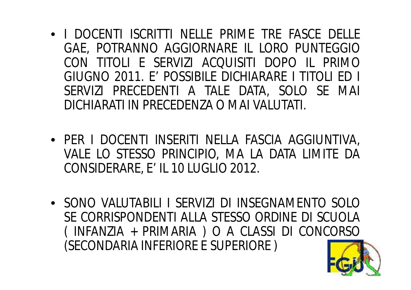- I DOCENTI ISCRITTI NELLE PRIME TRE FASCE DELLE GAE, POTRANNO AGGIORNARE IL LORO PUNTEGGIO CON TITOLI E SERVIZI ACQUISITI DOPO IL PRIMO GIUGNO 2011. E' POSSIBILE DICHIARARE I TITOLI ED I SERVIZI PRECEDENTI A TALE DATA, SOLO SE MAI DICHIARATI IN PRECEDENZA O MAI VALUTATI.
- PER I DOCENTI INSERITI NELLA FASCIA AGGIUNTIVA, VALE LO STESSO PRINCIPIO, MA LA DATA LIMITE DA CONSIDERARE, E' IL 10 LUGLIO 2012.
- SONO VALUTABILI I SERVIZI DI INSEGNAMENTO SOLO SE CORRISPONDENTI ALLA STESSO ORDINE DI SCUOLA ( INFANZIA + PRIMARIA ) O A CLASSI DI CONCORSO (SECONDARIA INFERIORE E SUPERIORE )

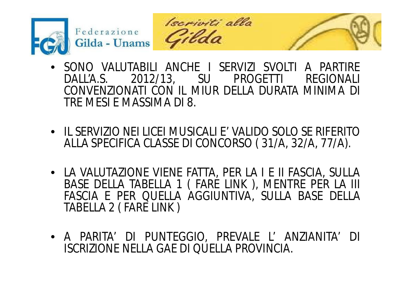





- SONO VALUTABILI ANCHE I SERVIZI SVOLTI A PARTIRE 2012/13, SU PROGETTI CONVENZIONATI CON IL MIUR DELLA DURATA MINIMA DI TRE MESI E MASSIMA DI 8.
- IL SERVIZIO NEI LICEI MUSICALI E' VALIDO SOLO SE RIFERITO ALLA SPECIFICA CLASSE DI CONCORSO ( 31/A, 32/A, 77/A).
- LA VALUTAZIONE VIENE FATTA, PER LA I E II FASCIA, SULLA BASE DELLA TABELLA 1 ( FARE LINK ), MENTRE PER LA III FASCIA E PER QUELLA AGGIUNTIVA, SULLA BASE DELLA TABELLA 2 ( FARE LINK )
- A PARITA' DI PUNTEGGIO, PREVALE L' ANZIANITA' DI ISCRIZIONE NELLA GAE DI QUELLA PROVINCIA.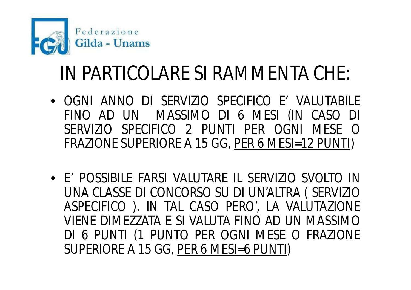

### IN PARTICOLARE SI RAMMENTA CHE:

- OGNI ANNO DI SERVIZIO SPECIFICO E' VALUTABILE FINO AD UN MASSIMO DI 6 MESI (IN CASO DI SERVIZIO SPECIFICO 2 PUNTI PER OGNI MESE O FRAZIONE SUPERIORE A 15 GG, PER 6 MESI=12 PUNTI)
- E' POSSIBILE FARSI VALUTARE IL SERVIZIO SVOLTO IN UNA CLASSE DI CONCORSO SU DI UN'ALTRA ( SERVIZIO ASPECIFICO ). IN TAL CASO PERO', LA VALUTAZIONE VIENE DIMEZZATA E SI VALUTA FINO AD UN MASSIMO DI 6 PUNTI (1 PUNTO PER OGNI MESE O FRAZIONE SUPERIORE A 15 GG, PER 6 MESI=6 PUNTI)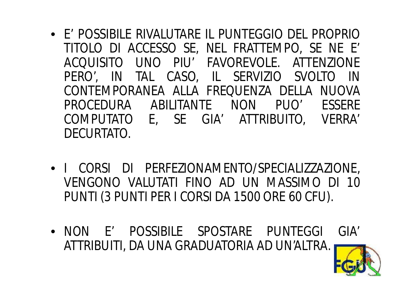- E' POSSIBILE RIVALUTARE IL PUNTEGGIO DEL PROPRIO TITOLO DI ACCESSO SE, NEL FRATTEMPO, SE NE E' ACQUISITO UNO PIU' FAVOREVOLE. ATTENZIONE PERO', IN TAL CASO, IL SERVIZIO SVOLTO IN CONTEMPORANEA ALLA FREQUENZA DELLA NUOVA PROCEDURA ABILITANTE NON PUO' ESSERE COMPUTATO E, SE GIA' ATTRIBUITO, VERRA' DECURTATO.
- I CORSI DI PERFEZIONAMENTO/SPECIALIZZAZIONE, VENGONO VALUTATI FINO AD UN MASSIMO DI 10 PUNTI (3 PUNTI PER I CORSI DA 1500 ORE 60 CFU).
- NON E' POSSIBILE SPOSTARE PUNTEGGI GIA' ATTRIBUITI, DA UNA GRADUATORIA AD UN'ALTRA.

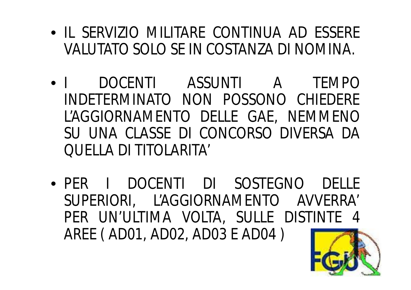- IL SERVIZIO MILITARE CONTINUA AD ESSERE VALUTATO SOLO SE IN COSTANZA DI NOMINA.
- I DOCENTI ASSUNTI A TEMPO INDETERMINATO NON POSSONO CHIEDERE L'AGGIORNAMENTO DELLE GAE, NEMMENO SU UNA CLASSE DI CONCORSO DIVERSA DA QUELLA DI TITOLARITA'
- PER I DOCENTI DI SOSTEGNO DELLE SUPERIORI, L'AGGIORNAMENTO AVVERRA' PER UN'ULTIMA VOLTA, SULLE DISTINTE 4 AREE ( AD01, AD02, AD03 E AD04 )

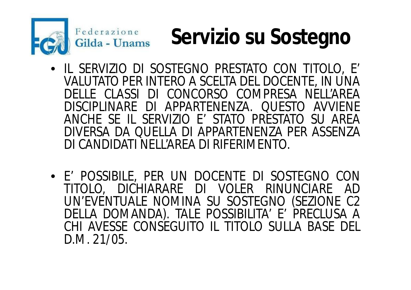

## **Servizio su Sostegno**

- IL SERVIZIO DI SOSTEGNO PRESTATO CON TITOLO, E' VALUTATO PER INTERO A SCELTA DEL DOCENTE, IN UNA DELLE CLASSI DI CONCORSO COMPRESA NELL'AREA DISCIPLINARE DI APPARTENENZA. QUESTO AVVIENE ANCHE SE IL SERVIZIO E' STATO PRESTATO SU AREA DIVERSA DA QUELLA DI APPARTENENZA PER ASSENZA DI CANDIDATI NELL'AREA DI RIFERIMENTO.
- E' POSSIBILE, PER UN DOCENTE DI SOSTEGNO CON TITOLO, DICHIARARE DI VOLER RINUNCIARE AD UN'EVENTUALE NOMINA SU SOSTEGNO (SEZIONE C2 DELLA DOMANDA). TALE POSSIBILITA' E' PRECLUSA A CHI AVESSE CONSEGUITO IL TITOLO SULLA BASE DEL D.M. 21/05.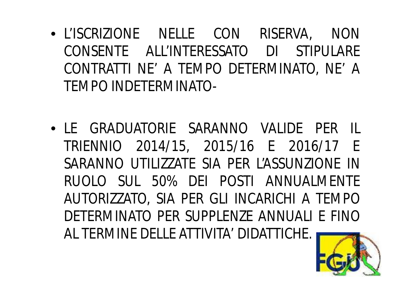- L'ISCRIZIONE NELLE CON RISERVA, NON CONSENTE ALL'INTERESSATO DI STIPULARE CONTRATTI NE' A TEMPO DETERMINATO, NE' A TEMPO INDETERMINATO-
- LE GRADUATORIE SARANNO VALIDE PER IL TRIENNIO 2014/15, 2015/16 E 2016/17 E SARANNO UTILIZZATE SIA PER L'ASSUNZIONE IN RUOLO SUL 50% DEI POSTI ANNUALMENTE AUTORIZZATO, SIA PER GLI INCARICHI A TEMPO DETERMINATO PER SUPPLENZE ANNUALI E FINO AL TERMINE DELLE ATTIVITA' DIDATTICHE.